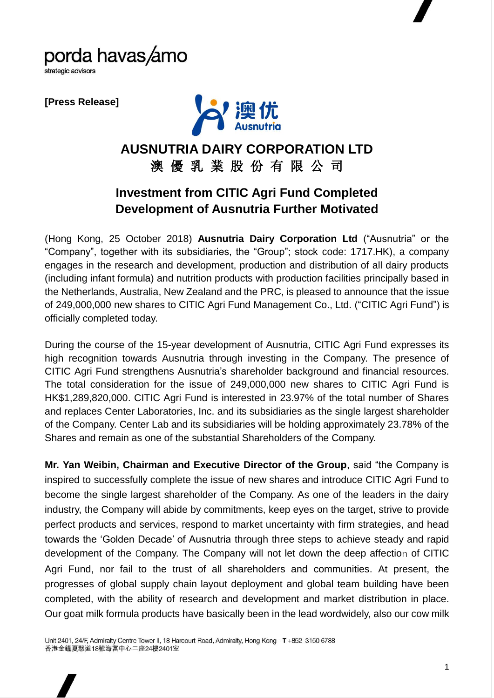

strategic advisors

**[Press Release]**



## **AUSNUTRIA DAIRY CORPORATION LTD** 澳 優 乳 業 股 份 有 限 公 司

## **Investment from CITIC Agri Fund Completed Development of Ausnutria Further Motivated**

(Hong Kong, 25 October 2018) **Ausnutria Dairy Corporation Ltd** ("Ausnutria" or the "Company", together with its subsidiaries, the "Group"; stock code: 1717.HK), a company engages in the research and development, production and distribution of all dairy products (including infant formula) and nutrition products with production facilities principally based in the Netherlands, Australia, New Zealand and the PRC, is pleased to announce that the issue of 249,000,000 new shares to CITIC Agri Fund Management Co., Ltd. ("CITIC Agri Fund") is officially completed today.

During the course of the 15-year development of Ausnutria, CITIC Agri Fund expresses its high recognition towards Ausnutria through investing in the Company. The presence of CITIC Agri Fund strengthens Ausnutria's shareholder background and financial resources. The total consideration for the issue of 249,000,000 new shares to CITIC Agri Fund is HK\$1,289,820,000. CITIC Agri Fund is interested in 23.97% of the total number of Shares and replaces Center Laboratories, Inc. and its subsidiaries as the single largest shareholder of the Company. Center Lab and its subsidiaries will be holding approximately 23.78% of the Shares and remain as one of the substantial Shareholders of the Company.

**Mr. Yan Weibin, Chairman and Executive Director of the Group**, said "the Company is inspired to successfully complete the issue of new shares and introduce CITIC Agri Fund to become the single largest shareholder of the Company. As one of the leaders in the dairy industry, the Company will abide by commitments, keep eyes on the target, strive to provide perfect products and services, respond to market uncertainty with firm strategies, and head towards the 'Golden Decade' of Ausnutria through three steps to achieve steady and rapid development of the Company. The Company will not let down the deep affection of CITIC Agri Fund, nor fail to the trust of all shareholders and communities. At present, the progresses of global supply chain layout deployment and global team building have been completed, with the ability of research and development and market distribution in place. Our goat milk formula products have basically been in the lead wordwidely, also our cow milk